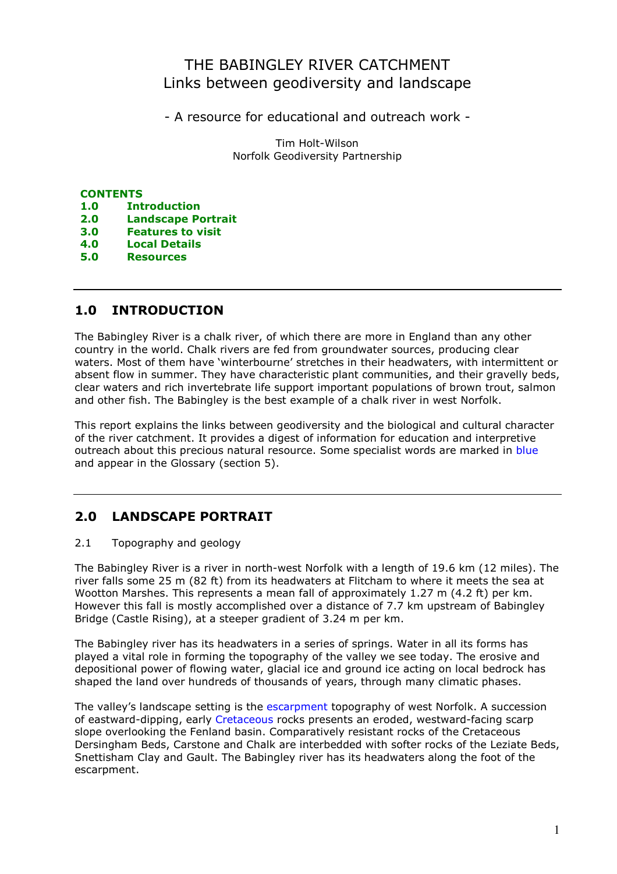# THE BABINGLEY RIVER CATCHMENT Links between geodiversity and landscape

- A resource for educational and outreach work -

Tim Holt-Wilson Norfolk Geodiversity Partnership

### **CONTENTS**

- 1.0 Introduction
- 2.0 Landscape Portrait
- 3.0 Features to visit
- 4.0 Local Details
- 5.0 Resources

# 1.0 INTRODUCTION

The Babingley River is a chalk river, of which there are more in England than any other country in the world. Chalk rivers are fed from groundwater sources, producing clear waters. Most of them have 'winterbourne' stretches in their headwaters, with intermittent or absent flow in summer. They have characteristic plant communities, and their gravelly beds, clear waters and rich invertebrate life support important populations of brown trout, salmon and other fish. The Babingley is the best example of a chalk river in west Norfolk.

This report explains the links between geodiversity and the biological and cultural character of the river catchment. It provides a digest of information for education and interpretive outreach about this precious natural resource. Some specialist words are marked in blue and appear in the Glossary (section 5).

# 2.0 LANDSCAPE PORTRAIT

#### 2.1 Topography and geology

The Babingley River is a river in north-west Norfolk with a length of 19.6 km (12 miles). The river falls some 25 m (82 ft) from its headwaters at Flitcham to where it meets the sea at Wootton Marshes. This represents a mean fall of approximately 1.27 m (4.2 ft) per km. However this fall is mostly accomplished over a distance of 7.7 km upstream of Babingley Bridge (Castle Rising), at a steeper gradient of 3.24 m per km.

The Babingley river has its headwaters in a series of springs. Water in all its forms has played a vital role in forming the topography of the valley we see today. The erosive and depositional power of flowing water, glacial ice and ground ice acting on local bedrock has shaped the land over hundreds of thousands of years, through many climatic phases.

The valley's landscape setting is the escarpment topography of west Norfolk. A succession of eastward-dipping, early Cretaceous rocks presents an eroded, westward-facing scarp slope overlooking the Fenland basin. Comparatively resistant rocks of the Cretaceous Dersingham Beds, Carstone and Chalk are interbedded with softer rocks of the Leziate Beds, Snettisham Clay and Gault. The Babingley river has its headwaters along the foot of the escarpment.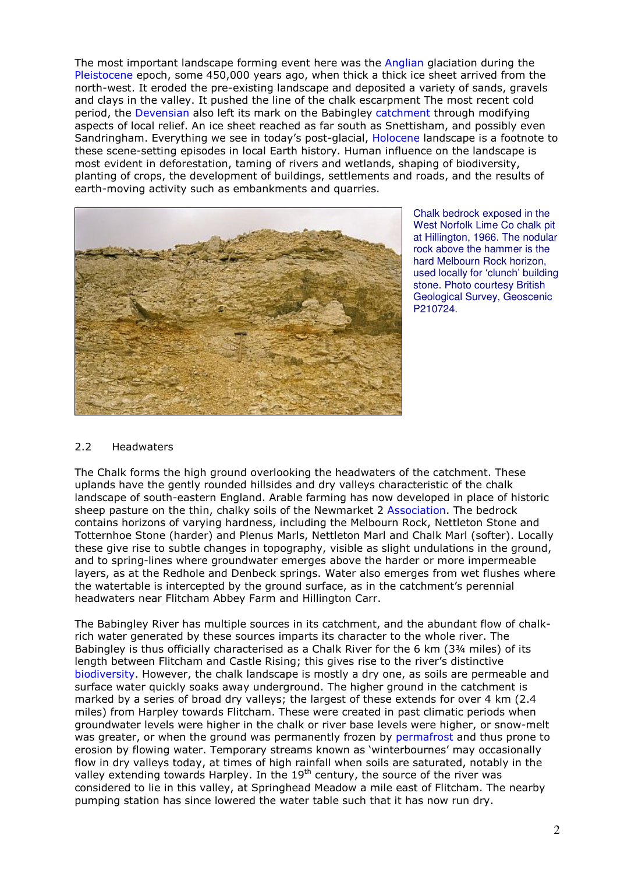The most important landscape forming event here was the Anglian glaciation during the Pleistocene epoch, some 450,000 years ago, when thick a thick ice sheet arrived from the north-west. It eroded the pre-existing landscape and deposited a variety of sands, gravels and clays in the valley. It pushed the line of the chalk escarpment The most recent cold period, the Devensian also left its mark on the Babingley catchment through modifying aspects of local relief. An ice sheet reached as far south as Snettisham, and possibly even Sandringham. Everything we see in today's post-glacial, Holocene landscape is a footnote to these scene-setting episodes in local Earth history. Human influence on the landscape is most evident in deforestation, taming of rivers and wetlands, shaping of biodiversity, planting of crops, the development of buildings, settlements and roads, and the results of earth-moving activity such as embankments and quarries.



Chalk bedrock exposed in the West Norfolk Lime Co chalk pit at Hillington, 1966. The nodular rock above the hammer is the hard Melbourn Rock horizon, used locally for 'clunch' building stone. Photo courtesy British Geological Survey, Geoscenic P210724.

#### 2.2 Headwaters

The Chalk forms the high ground overlooking the headwaters of the catchment. These uplands have the gently rounded hillsides and dry valleys characteristic of the chalk landscape of south-eastern England. Arable farming has now developed in place of historic sheep pasture on the thin, chalky soils of the Newmarket 2 Association. The bedrock contains horizons of varying hardness, including the Melbourn Rock, Nettleton Stone and Totternhoe Stone (harder) and Plenus Marls, Nettleton Marl and Chalk Marl (softer). Locally these give rise to subtle changes in topography, visible as slight undulations in the ground, and to spring-lines where groundwater emerges above the harder or more impermeable layers, as at the Redhole and Denbeck springs. Water also emerges from wet flushes where the watertable is intercepted by the ground surface, as in the catchment's perennial headwaters near Flitcham Abbey Farm and Hillington Carr.

The Babingley River has multiple sources in its catchment, and the abundant flow of chalkrich water generated by these sources imparts its character to the whole river. The Babingley is thus officially characterised as a Chalk River for the 6 km (3¾ miles) of its length between Flitcham and Castle Rising; this gives rise to the river's distinctive biodiversity. However, the chalk landscape is mostly a dry one, as soils are permeable and surface water quickly soaks away underground. The higher ground in the catchment is marked by a series of broad dry valleys; the largest of these extends for over 4 km (2.4 miles) from Harpley towards Flitcham. These were created in past climatic periods when groundwater levels were higher in the chalk or river base levels were higher, or snow-melt was greater, or when the ground was permanently frozen by permafrost and thus prone to erosion by flowing water. Temporary streams known as 'winterbournes' may occasionally flow in dry valleys today, at times of high rainfall when soils are saturated, notably in the valley extending towards Harpley. In the 19<sup>th</sup> century, the source of the river was considered to lie in this valley, at Springhead Meadow a mile east of Flitcham. The nearby pumping station has since lowered the water table such that it has now run dry.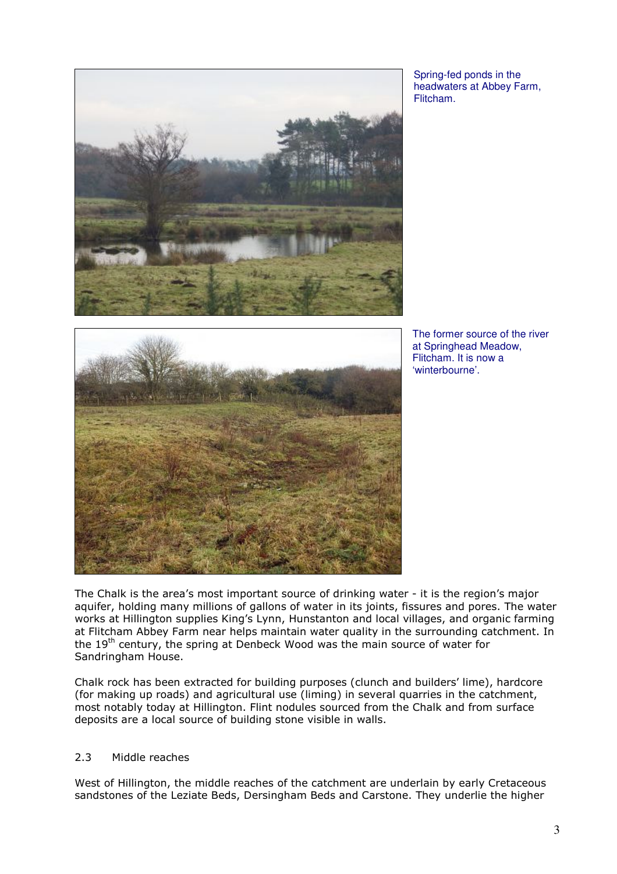

Spring-fed ponds in the headwaters at Abbey Farm, Flitcham.



The former source of the river at Springhead Meadow, Flitcham. It is now a 'winterbourne'.

The Chalk is the area's most important source of drinking water - it is the region's major aquifer, holding many millions of gallons of water in its joints, fissures and pores. The water works at Hillington supplies King's Lynn, Hunstanton and local villages, and organic farming at Flitcham Abbey Farm near helps maintain water quality in the surrounding catchment. In the 19<sup>th</sup> century, the spring at Denbeck Wood was the main source of water for Sandringham House.

Chalk rock has been extracted for building purposes (clunch and builders' lime), hardcore (for making up roads) and agricultural use (liming) in several quarries in the catchment, most notably today at Hillington. Flint nodules sourced from the Chalk and from surface deposits are a local source of building stone visible in walls.

### 2.3 Middle reaches

West of Hillington, the middle reaches of the catchment are underlain by early Cretaceous sandstones of the Leziate Beds, Dersingham Beds and Carstone. They underlie the higher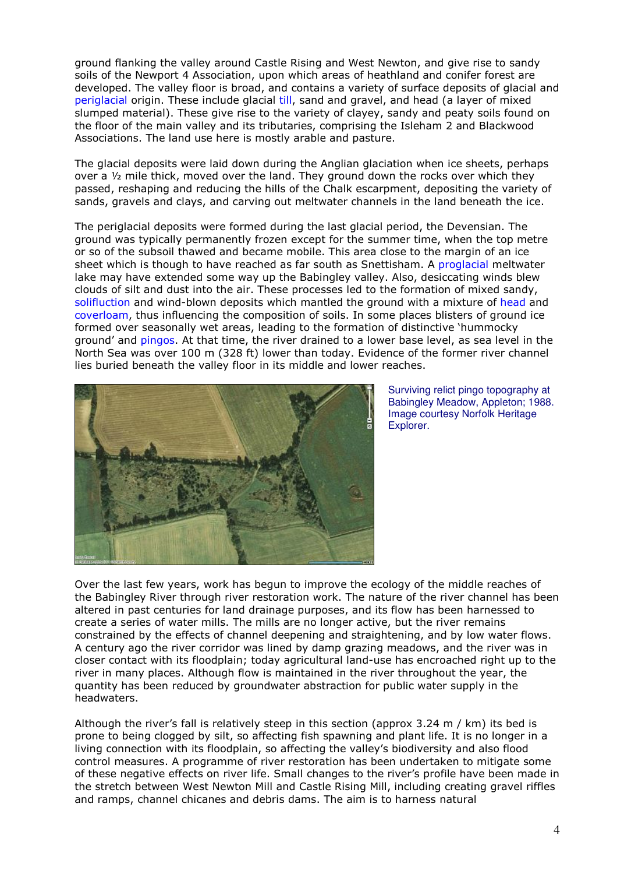ground flanking the valley around Castle Rising and West Newton, and give rise to sandy soils of the Newport 4 Association, upon which areas of heathland and conifer forest are developed. The valley floor is broad, and contains a variety of surface deposits of glacial and periglacial origin. These include glacial till, sand and gravel, and head (a layer of mixed slumped material). These give rise to the variety of clayey, sandy and peaty soils found on the floor of the main valley and its tributaries, comprising the Isleham 2 and Blackwood Associations. The land use here is mostly arable and pasture.

The glacial deposits were laid down during the Anglian glaciation when ice sheets, perhaps over a ½ mile thick, moved over the land. They ground down the rocks over which they passed, reshaping and reducing the hills of the Chalk escarpment, depositing the variety of sands, gravels and clays, and carving out meltwater channels in the land beneath the ice.

The periglacial deposits were formed during the last glacial period, the Devensian. The ground was typically permanently frozen except for the summer time, when the top metre or so of the subsoil thawed and became mobile. This area close to the margin of an ice sheet which is though to have reached as far south as Snettisham. A proglacial meltwater lake may have extended some way up the Babingley valley. Also, desiccating winds blew clouds of silt and dust into the air. These processes led to the formation of mixed sandy, solifluction and wind-blown deposits which mantled the ground with a mixture of head and coverloam, thus influencing the composition of soils. In some places blisters of ground ice formed over seasonally wet areas, leading to the formation of distinctive 'hummocky ground' and pingos. At that time, the river drained to a lower base level, as sea level in the North Sea was over 100 m (328 ft) lower than today. Evidence of the former river channel lies buried beneath the valley floor in its middle and lower reaches.



Surviving relict pingo topography at Babingley Meadow, Appleton; 1988. Image courtesy Norfolk Heritage Explorer.

Over the last few years, work has begun to improve the ecology of the middle reaches of the Babingley River through river restoration work. The nature of the river channel has been altered in past centuries for land drainage purposes, and its flow has been harnessed to create a series of water mills. The mills are no longer active, but the river remains constrained by the effects of channel deepening and straightening, and by low water flows. A century ago the river corridor was lined by damp grazing meadows, and the river was in closer contact with its floodplain; today agricultural land-use has encroached right up to the river in many places. Although flow is maintained in the river throughout the year, the quantity has been reduced by groundwater abstraction for public water supply in the headwaters.

Although the river's fall is relatively steep in this section (approx 3.24 m / km) its bed is prone to being clogged by silt, so affecting fish spawning and plant life. It is no longer in a living connection with its floodplain, so affecting the valley's biodiversity and also flood control measures. A programme of river restoration has been undertaken to mitigate some of these negative effects on river life. Small changes to the river's profile have been made in the stretch between West Newton Mill and Castle Rising Mill, including creating gravel riffles and ramps, channel chicanes and debris dams. The aim is to harness natural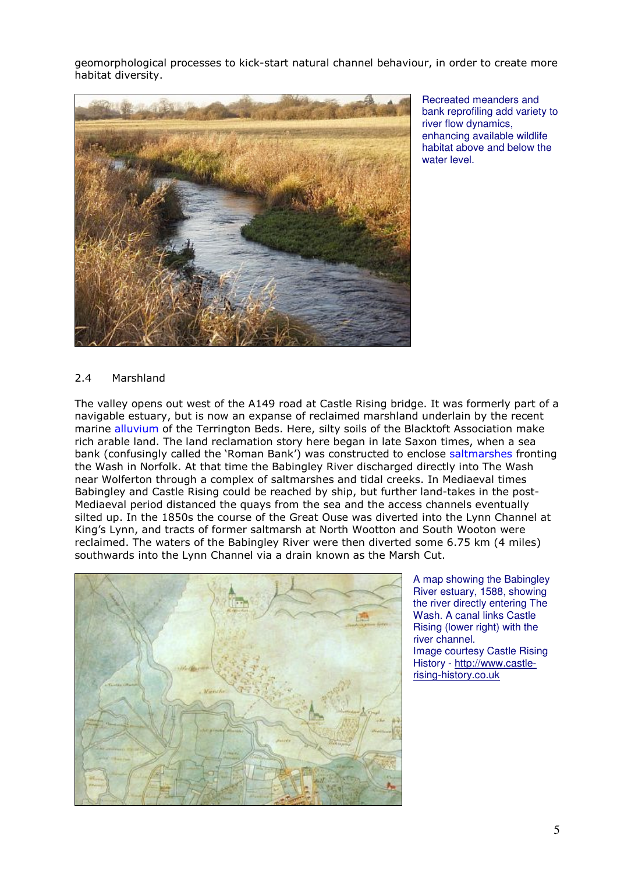geomorphological processes to kick-start natural channel behaviour, in order to create more habitat diversity.



Recreated meanders and bank reprofiling add variety to river flow dynamics, enhancing available wildlife habitat above and below the water level.

### 2.4 Marshland

The valley opens out west of the A149 road at Castle Rising bridge. It was formerly part of a navigable estuary, but is now an expanse of reclaimed marshland underlain by the recent marine alluvium of the Terrington Beds. Here, silty soils of the Blacktoft Association make rich arable land. The land reclamation story here began in late Saxon times, when a sea bank (confusingly called the 'Roman Bank') was constructed to enclose saltmarshes fronting the Wash in Norfolk. At that time the Babingley River discharged directly into The Wash near Wolferton through a complex of saltmarshes and tidal creeks. In Mediaeval times Babingley and Castle Rising could be reached by ship, but further land-takes in the post-Mediaeval period distanced the quays from the sea and the access channels eventually silted up. In the 1850s the course of the Great Ouse was diverted into the Lynn Channel at King's Lynn, and tracts of former saltmarsh at North Wootton and South Wooton were reclaimed. The waters of the Babingley River were then diverted some 6.75 km (4 miles) southwards into the Lynn Channel via a drain known as the Marsh Cut.



A map showing the Babingley River estuary, 1588, showing the river directly entering The Wash. A canal links Castle Rising (lower right) with the river channel. Image courtesy Castle Rising History - http://www.castlerising-history.co.uk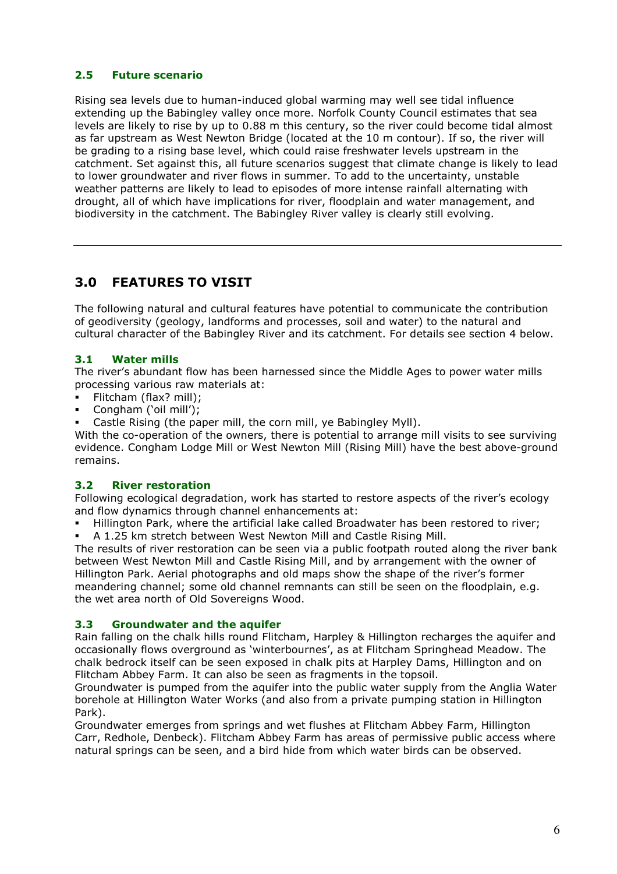## 2.5 Future scenario

Rising sea levels due to human-induced global warming may well see tidal influence extending up the Babingley valley once more. Norfolk County Council estimates that sea levels are likely to rise by up to 0.88 m this century, so the river could become tidal almost as far upstream as West Newton Bridge (located at the 10 m contour). If so, the river will be grading to a rising base level, which could raise freshwater levels upstream in the catchment. Set against this, all future scenarios suggest that climate change is likely to lead to lower groundwater and river flows in summer. To add to the uncertainty, unstable weather patterns are likely to lead to episodes of more intense rainfall alternating with drought, all of which have implications for river, floodplain and water management, and biodiversity in the catchment. The Babingley River valley is clearly still evolving.

# 3.0 FEATURES TO VISIT

The following natural and cultural features have potential to communicate the contribution of geodiversity (geology, landforms and processes, soil and water) to the natural and cultural character of the Babingley River and its catchment. For details see section 4 below.

## 3.1 Water mills

The river's abundant flow has been harnessed since the Middle Ages to power water mills processing various raw materials at:

- Flitcham (flax? mill);
- Congham ('oil mill');
- Castle Rising (the paper mill, the corn mill, ye Babingley Myll).

With the co-operation of the owners, there is potential to arrange mill visits to see surviving evidence. Congham Lodge Mill or West Newton Mill (Rising Mill) have the best above-ground remains.

## 3.2 River restoration

Following ecological degradation, work has started to restore aspects of the river's ecology and flow dynamics through channel enhancements at:

Hillington Park, where the artificial lake called Broadwater has been restored to river;

A 1.25 km stretch between West Newton Mill and Castle Rising Mill.

The results of river restoration can be seen via a public footpath routed along the river bank between West Newton Mill and Castle Rising Mill, and by arrangement with the owner of Hillington Park. Aerial photographs and old maps show the shape of the river's former meandering channel; some old channel remnants can still be seen on the floodplain, e.g. the wet area north of Old Sovereigns Wood.

#### 3.3 Groundwater and the aquifer

Rain falling on the chalk hills round Flitcham, Harpley & Hillington recharges the aquifer and occasionally flows overground as 'winterbournes', as at Flitcham Springhead Meadow. The chalk bedrock itself can be seen exposed in chalk pits at Harpley Dams, Hillington and on Flitcham Abbey Farm. It can also be seen as fragments in the topsoil.

Groundwater is pumped from the aquifer into the public water supply from the Anglia Water borehole at Hillington Water Works (and also from a private pumping station in Hillington Park).

Groundwater emerges from springs and wet flushes at Flitcham Abbey Farm, Hillington Carr, Redhole, Denbeck). Flitcham Abbey Farm has areas of permissive public access where natural springs can be seen, and a bird hide from which water birds can be observed.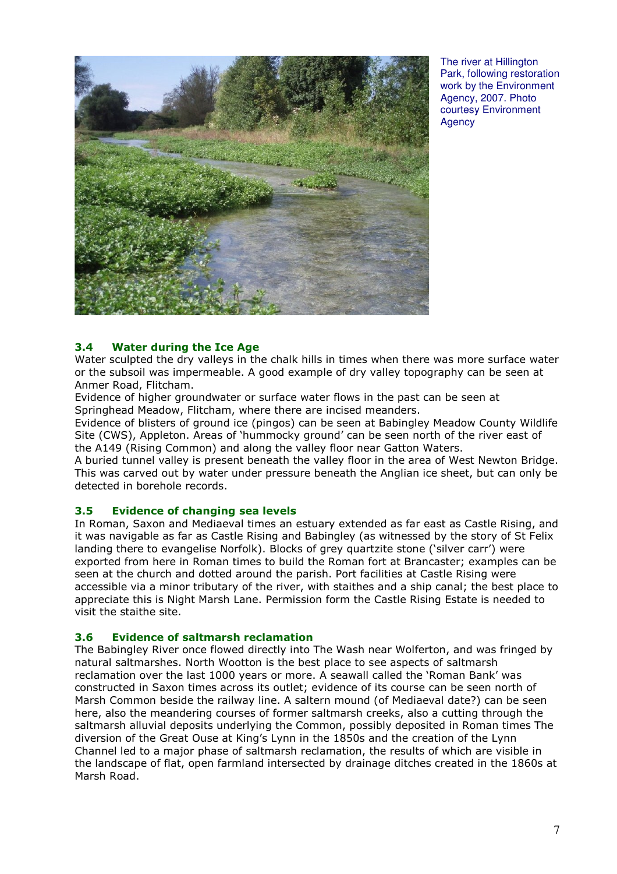

The river at Hillington Park, following restoration work by the Environment Agency, 2007. Photo courtesy Environment **Agency** 

### 3.4 Water during the Ice Age

Water sculpted the dry valleys in the chalk hills in times when there was more surface water or the subsoil was impermeable. A good example of dry valley topography can be seen at Anmer Road, Flitcham.

Evidence of higher groundwater or surface water flows in the past can be seen at Springhead Meadow, Flitcham, where there are incised meanders.

Evidence of blisters of ground ice (pingos) can be seen at Babingley Meadow County Wildlife Site (CWS), Appleton. Areas of 'hummocky ground' can be seen north of the river east of the A149 (Rising Common) and along the valley floor near Gatton Waters.

A buried tunnel valley is present beneath the valley floor in the area of West Newton Bridge. This was carved out by water under pressure beneath the Anglian ice sheet, but can only be detected in borehole records.

#### 3.5 Evidence of changing sea levels

In Roman, Saxon and Mediaeval times an estuary extended as far east as Castle Rising, and it was navigable as far as Castle Rising and Babingley (as witnessed by the story of St Felix landing there to evangelise Norfolk). Blocks of grey quartzite stone ('silver carr') were exported from here in Roman times to build the Roman fort at Brancaster; examples can be seen at the church and dotted around the parish. Port facilities at Castle Rising were accessible via a minor tributary of the river, with staithes and a ship canal; the best place to appreciate this is Night Marsh Lane. Permission form the Castle Rising Estate is needed to visit the staithe site.

#### 3.6 Evidence of saltmarsh reclamation

The Babingley River once flowed directly into The Wash near Wolferton, and was fringed by natural saltmarshes. North Wootton is the best place to see aspects of saltmarsh reclamation over the last 1000 years or more. A seawall called the 'Roman Bank' was constructed in Saxon times across its outlet; evidence of its course can be seen north of Marsh Common beside the railway line. A saltern mound (of Mediaeval date?) can be seen here, also the meandering courses of former saltmarsh creeks, also a cutting through the saltmarsh alluvial deposits underlying the Common, possibly deposited in Roman times The diversion of the Great Ouse at King's Lynn in the 1850s and the creation of the Lynn Channel led to a major phase of saltmarsh reclamation, the results of which are visible in the landscape of flat, open farmland intersected by drainage ditches created in the 1860s at Marsh Road.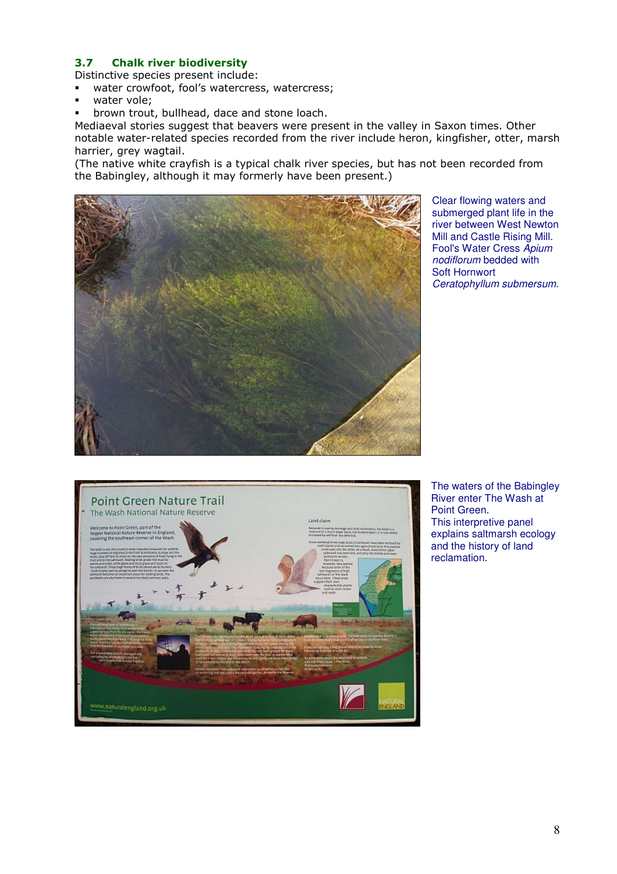## 3.7 Chalk river biodiversity

Distinctive species present include:

- water crowfoot, fool's watercress, watercress;
- water vole;
- brown trout, bullhead, dace and stone loach.

Mediaeval stories suggest that beavers were present in the valley in Saxon times. Other notable water-related species recorded from the river include heron, kingfisher, otter, marsh harrier, grey wagtail.

(The native white crayfish is a typical chalk river species, but has not been recorded from the Babingley, although it may formerly have been present.)



Clear flowing waters and submerged plant life in the river between West Newton Mill and Castle Rising Mill. Fool's Water Cress Apium nodiflorum bedded with Soft Hornwort Ceratophyllum submersum.



The waters of the Babingley River enter The Wash at Point Green. This interpretive panel explains saltmarsh ecology and the history of land reclamation.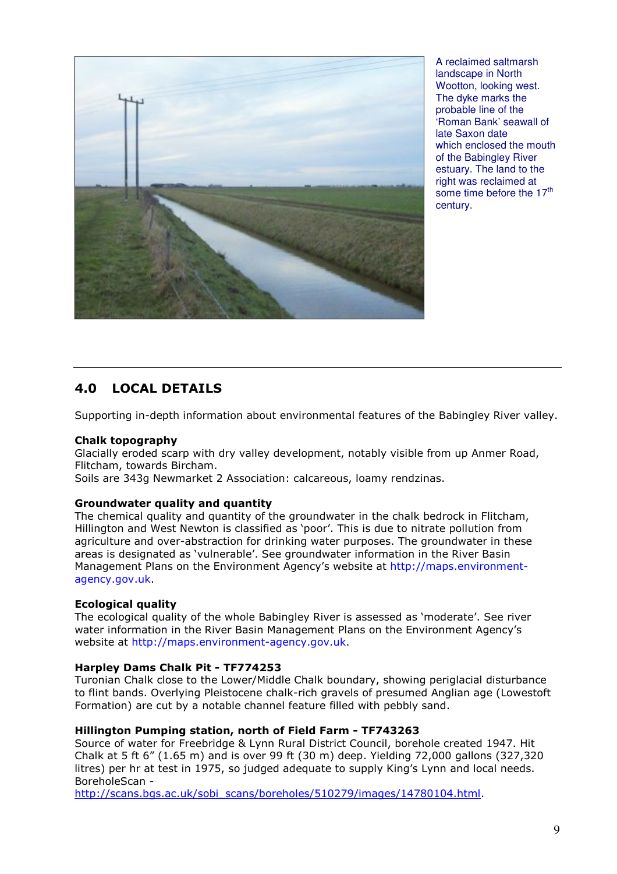

A reclaimed saltmarsh landscape in North Wootton, looking west. The dyke marks the probable line of the 'Roman Bank' seawall of late Saxon date which enclosed the mouth of the Babingley River estuary. The land to the right was reclaimed at some time before the 17<sup>th</sup> century.

# 4.0 LOCAL DETAILS

Supporting in-depth information about environmental features of the Babingley River valley.

#### Chalk topography

Glacially eroded scarp with dry valley development, notably visible from up Anmer Road, Flitcham, towards Bircham.

Soils are 343g Newmarket 2 Association: calcareous, loamy rendzinas.

#### Groundwater quality and quantity

The chemical quality and quantity of the groundwater in the chalk bedrock in Flitcham, Hillington and West Newton is classified as 'poor'. This is due to nitrate pollution from agriculture and over-abstraction for drinking water purposes. The groundwater in these areas is designated as 'vulnerable'. See groundwater information in the River Basin Management Plans on the Environment Agency's website at http://maps.environmentagency.gov.uk.

#### Ecological quality

The ecological quality of the whole Babingley River is assessed as 'moderate'. See river water information in the River Basin Management Plans on the Environment Agency's website at http://maps.environment-agency.gov.uk.

#### Harpley Dams Chalk Pit - TF774253

Turonian Chalk close to the Lower/Middle Chalk boundary, showing periglacial disturbance to flint bands. Overlying Pleistocene chalk-rich gravels of presumed Anglian age (Lowestoft Formation) are cut by a notable channel feature filled with pebbly sand.

#### Hillington Pumping station, north of Field Farm - TF743263

Source of water for Freebridge & Lynn Rural District Council, borehole created 1947. Hit Chalk at 5 ft 6" (1.65 m) and is over 99 ft (30 m) deep. Yielding 72,000 gallons (327,320 litres) per hr at test in 1975, so judged adequate to supply King's Lynn and local needs. BoreholeScan -

http://scans.bgs.ac.uk/sobi\_scans/boreholes/510279/images/14780104.html.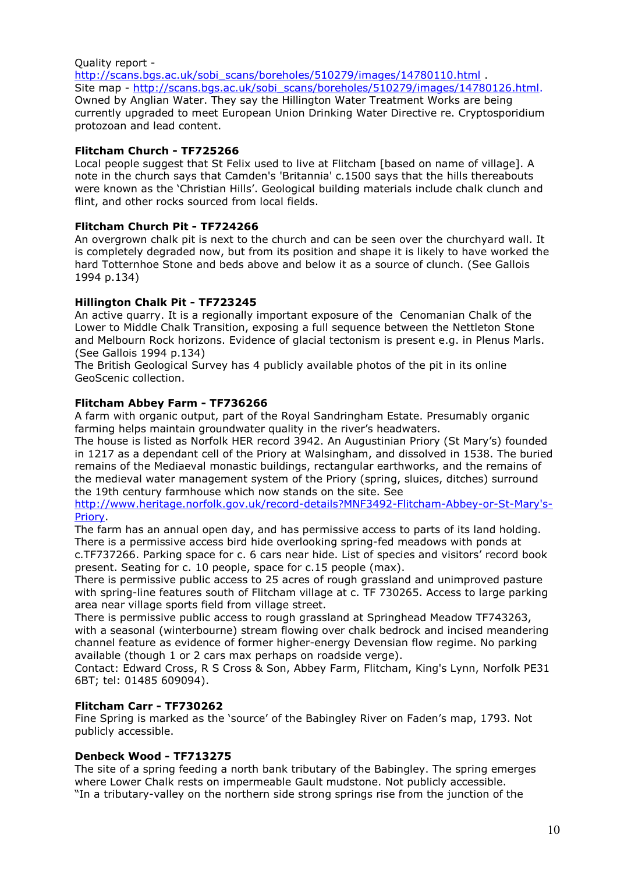#### Quality report http://scans.bgs.ac.uk/sobi\_scans/boreholes/510279/images/14780110.html Site map - http://scans.bgs.ac.uk/sobi\_scans/boreholes/510279/images/14780126.html. Owned by Anglian Water. They say the Hillington Water Treatment Works are being currently upgraded to meet European Union Drinking Water Directive re. Cryptosporidium protozoan and lead content.

### Flitcham Church - TF725266

Local people suggest that St Felix used to live at Flitcham [based on name of village]. A note in the church says that Camden's 'Britannia' c.1500 says that the hills thereabouts were known as the 'Christian Hills'. Geological building materials include chalk clunch and flint, and other rocks sourced from local fields.

## Flitcham Church Pit - TF724266

An overgrown chalk pit is next to the church and can be seen over the churchyard wall. It is completely degraded now, but from its position and shape it is likely to have worked the hard Totternhoe Stone and beds above and below it as a source of clunch. (See Gallois 1994 p.134)

### Hillington Chalk Pit - TF723245

An active quarry. It is a regionally important exposure of the Cenomanian Chalk of the Lower to Middle Chalk Transition, exposing a full sequence between the Nettleton Stone and Melbourn Rock horizons. Evidence of glacial tectonism is present e.g. in Plenus Marls. (See Gallois 1994 p.134)

The British Geological Survey has 4 publicly available photos of the pit in its online GeoScenic collection.

### Flitcham Abbey Farm - TF736266

A farm with organic output, part of the Royal Sandringham Estate. Presumably organic farming helps maintain groundwater quality in the river's headwaters.

The house is listed as Norfolk HER record 3942. An Augustinian Priory (St Mary's) founded in 1217 as a dependant cell of the Priory at Walsingham, and dissolved in 1538. The buried remains of the Mediaeval monastic buildings, rectangular earthworks, and the remains of the medieval water management system of the Priory (spring, sluices, ditches) surround the 19th century farmhouse which now stands on the site. See

#### http://www.heritage.norfolk.gov.uk/record-details?MNF3492-Flitcham-Abbey-or-St-Mary's-Priory.

The farm has an annual open day, and has permissive access to parts of its land holding. There is a permissive access bird hide overlooking spring-fed meadows with ponds at c.TF737266. Parking space for c. 6 cars near hide. List of species and visitors' record book present. Seating for c. 10 people, space for c.15 people (max).

There is permissive public access to 25 acres of rough grassland and unimproved pasture with spring-line features south of Flitcham village at c. TF 730265. Access to large parking area near village sports field from village street.

There is permissive public access to rough grassland at Springhead Meadow TF743263, with a seasonal (winterbourne) stream flowing over chalk bedrock and incised meandering channel feature as evidence of former higher-energy Devensian flow regime. No parking available (though 1 or 2 cars max perhaps on roadside verge).

Contact: Edward Cross, R S Cross & Son, Abbey Farm, Flitcham, King's Lynn, Norfolk PE31 6BT; tel: 01485 609094).

#### Flitcham Carr - TF730262

Fine Spring is marked as the 'source' of the Babingley River on Faden's map, 1793. Not publicly accessible.

#### Denbeck Wood - TF713275

The site of a spring feeding a north bank tributary of the Babingley. The spring emerges where Lower Chalk rests on impermeable Gault mudstone. Not publicly accessible. "In a tributary-valley on the northern side strong springs rise from the junction of the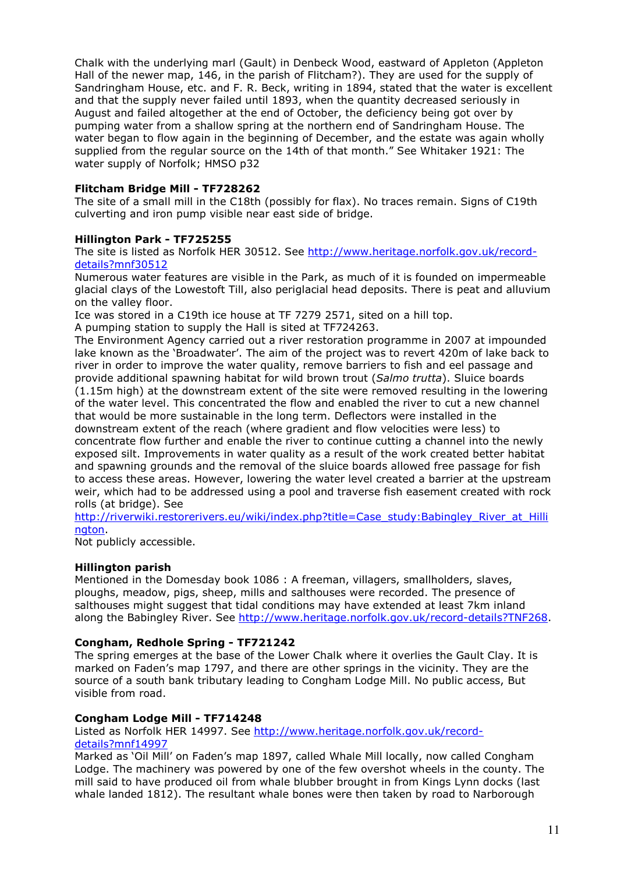Chalk with the underlying marl (Gault) in Denbeck Wood, eastward of Appleton (Appleton Hall of the newer map, 146, in the parish of Flitcham?). They are used for the supply of Sandringham House, etc. and F. R. Beck, writing in 1894, stated that the water is excellent and that the supply never failed until 1893, when the quantity decreased seriously in August and failed altogether at the end of October, the deficiency being got over by pumping water from a shallow spring at the northern end of Sandringham House. The water began to flow again in the beginning of December, and the estate was again wholly supplied from the regular source on the 14th of that month." See Whitaker 1921: The water supply of Norfolk; HMSO p32

## Flitcham Bridge Mill - TF728262

The site of a small mill in the C18th (possibly for flax). No traces remain. Signs of C19th culverting and iron pump visible near east side of bridge.

## Hillington Park - TF725255

The site is listed as Norfolk HER 30512. See http://www.heritage.norfolk.gov.uk/recorddetails?mnf30512

Numerous water features are visible in the Park, as much of it is founded on impermeable glacial clays of the Lowestoft Till, also periglacial head deposits. There is peat and alluvium on the valley floor.

Ice was stored in a C19th ice house at TF 7279 2571, sited on a hill top.

A pumping station to supply the Hall is sited at TF724263.

The Environment Agency carried out a river restoration programme in 2007 at impounded lake known as the 'Broadwater'. The aim of the project was to revert 420m of lake back to river in order to improve the water quality, remove barriers to fish and eel passage and provide additional spawning habitat for wild brown trout (Salmo trutta). Sluice boards (1.15m high) at the downstream extent of the site were removed resulting in the lowering of the water level. This concentrated the flow and enabled the river to cut a new channel that would be more sustainable in the long term. Deflectors were installed in the downstream extent of the reach (where gradient and flow velocities were less) to concentrate flow further and enable the river to continue cutting a channel into the newly exposed silt. Improvements in water quality as a result of the work created better habitat and spawning grounds and the removal of the sluice boards allowed free passage for fish to access these areas. However, lowering the water level created a barrier at the upstream weir, which had to be addressed using a pool and traverse fish easement created with rock rolls (at bridge). See

http://riverwiki.restorerivers.eu/wiki/index.php?title=Case\_study:Babingley\_River\_at\_Hilli ngton.

Not publicly accessible.

## Hillington parish

Mentioned in the Domesday book 1086 : A freeman, villagers, smallholders, slaves, ploughs, meadow, pigs, sheep, mills and salthouses were recorded. The presence of salthouses might suggest that tidal conditions may have extended at least 7km inland along the Babingley River. See http://www.heritage.norfolk.gov.uk/record-details?TNF268.

## Congham, Redhole Spring - TF721242

The spring emerges at the base of the Lower Chalk where it overlies the Gault Clay. It is marked on Faden's map 1797, and there are other springs in the vicinity. They are the source of a south bank tributary leading to Congham Lodge Mill. No public access, But visible from road.

## Congham Lodge Mill - TF714248

Listed as Norfolk HER 14997. See http://www.heritage.norfolk.gov.uk/recorddetails?mnf14997

Marked as 'Oil Mill' on Faden's map 1897, called Whale Mill locally, now called Congham Lodge. The machinery was powered by one of the few overshot wheels in the county. The mill said to have produced oil from whale blubber brought in from Kings Lynn docks (last whale landed 1812). The resultant whale bones were then taken by road to Narborough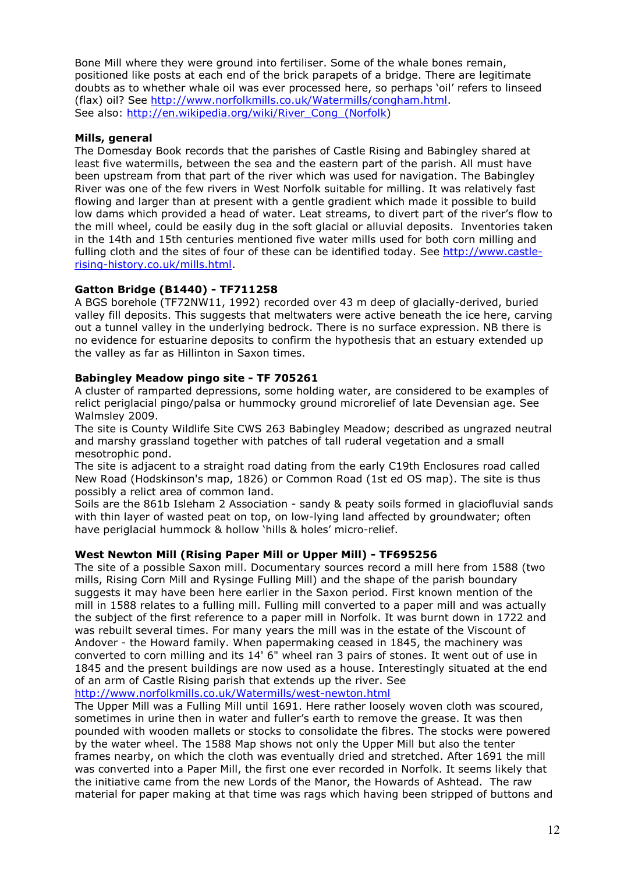Bone Mill where they were ground into fertiliser. Some of the whale bones remain, positioned like posts at each end of the brick parapets of a bridge. There are legitimate doubts as to whether whale oil was ever processed here, so perhaps 'oil' refers to linseed (flax) oil? See http://www.norfolkmills.co.uk/Watermills/congham.html. See also: http://en.wikipedia.org/wiki/River\_Cong (Norfolk)

## Mills, general

The Domesday Book records that the parishes of Castle Rising and Babingley shared at least five watermills, between the sea and the eastern part of the parish. All must have been upstream from that part of the river which was used for navigation. The Babingley River was one of the few rivers in West Norfolk suitable for milling. It was relatively fast flowing and larger than at present with a gentle gradient which made it possible to build low dams which provided a head of water. Leat streams, to divert part of the river's flow to the mill wheel, could be easily dug in the soft glacial or alluvial deposits. Inventories taken in the 14th and 15th centuries mentioned five water mills used for both corn milling and fulling cloth and the sites of four of these can be identified today. See http://www.castlerising-history.co.uk/mills.html.

## Gatton Bridge (B1440) - TF711258

A BGS borehole (TF72NW11, 1992) recorded over 43 m deep of glacially-derived, buried valley fill deposits. This suggests that meltwaters were active beneath the ice here, carving out a tunnel valley in the underlying bedrock. There is no surface expression. NB there is no evidence for estuarine deposits to confirm the hypothesis that an estuary extended up the valley as far as Hillinton in Saxon times.

### Babingley Meadow pingo site - TF 705261

A cluster of ramparted depressions, some holding water, are considered to be examples of relict periglacial pingo/palsa or hummocky ground microrelief of late Devensian age. See Walmsley 2009.

The site is County Wildlife Site CWS 263 Babingley Meadow; described as ungrazed neutral and marshy grassland together with patches of tall ruderal vegetation and a small mesotrophic pond.

The site is adjacent to a straight road dating from the early C19th Enclosures road called New Road (Hodskinson's map, 1826) or Common Road (1st ed OS map). The site is thus possibly a relict area of common land.

Soils are the 861b Isleham 2 Association - sandy & peaty soils formed in glaciofluvial sands with thin layer of wasted peat on top, on low-lying land affected by groundwater; often have periglacial hummock & hollow 'hills & holes' micro-relief.

## West Newton Mill (Rising Paper Mill or Upper Mill) - TF695256

The site of a possible Saxon mill. Documentary sources record a mill here from 1588 (two mills, Rising Corn Mill and Rysinge Fulling Mill) and the shape of the parish boundary suggests it may have been here earlier in the Saxon period. First known mention of the mill in 1588 relates to a fulling mill. Fulling mill converted to a paper mill and was actually the subject of the first reference to a paper mill in Norfolk. It was burnt down in 1722 and was rebuilt several times. For many years the mill was in the estate of the Viscount of Andover - the Howard family. When papermaking ceased in 1845, the machinery was converted to corn milling and its 14' 6" wheel ran 3 pairs of stones. It went out of use in 1845 and the present buildings are now used as a house. Interestingly situated at the end of an arm of Castle Rising parish that extends up the river. See

http://www.norfolkmills.co.uk/Watermills/west-newton.html

The Upper Mill was a Fulling Mill until 1691. Here rather loosely woven cloth was scoured, sometimes in urine then in water and fuller's earth to remove the grease. It was then pounded with wooden mallets or stocks to consolidate the fibres. The stocks were powered by the water wheel. The 1588 Map shows not only the Upper Mill but also the tenter frames nearby, on which the cloth was eventually dried and stretched. After 1691 the mill was converted into a Paper Mill, the first one ever recorded in Norfolk. It seems likely that the initiative came from the new Lords of the Manor, the Howards of Ashtead. The raw material for paper making at that time was rags which having been stripped of buttons and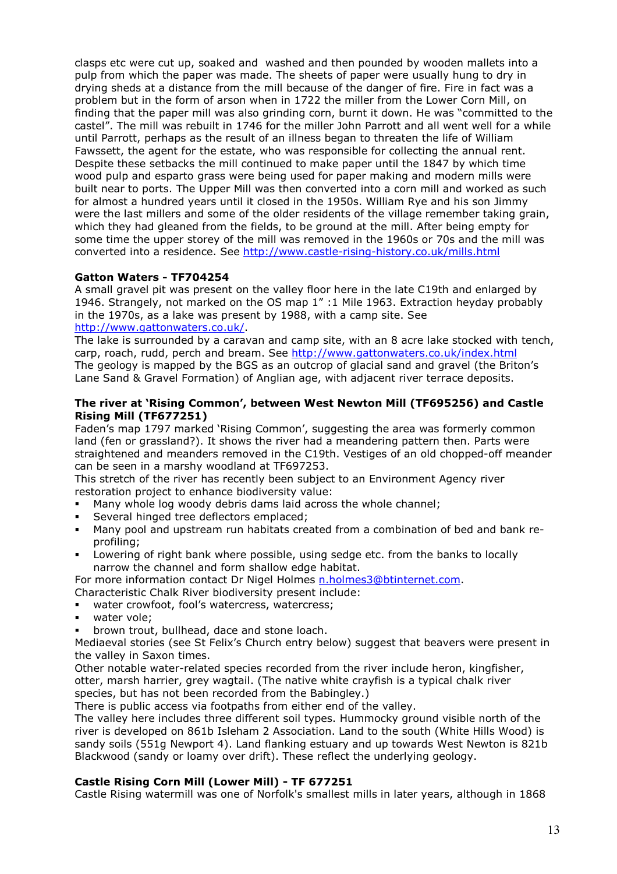clasps etc were cut up, soaked and washed and then pounded by wooden mallets into a pulp from which the paper was made. The sheets of paper were usually hung to dry in drying sheds at a distance from the mill because of the danger of fire. Fire in fact was a problem but in the form of arson when in 1722 the miller from the Lower Corn Mill, on finding that the paper mill was also grinding corn, burnt it down. He was "committed to the castel". The mill was rebuilt in 1746 for the miller John Parrott and all went well for a while until Parrott, perhaps as the result of an illness began to threaten the life of William Fawssett, the agent for the estate, who was responsible for collecting the annual rent. Despite these setbacks the mill continued to make paper until the 1847 by which time wood pulp and esparto grass were being used for paper making and modern mills were built near to ports. The Upper Mill was then converted into a corn mill and worked as such for almost a hundred years until it closed in the 1950s. William Rye and his son Jimmy were the last millers and some of the older residents of the village remember taking grain, which they had gleaned from the fields, to be ground at the mill. After being empty for some time the upper storey of the mill was removed in the 1960s or 70s and the mill was converted into a residence. See http://www.castle-rising-history.co.uk/mills.html

### Gatton Waters - TF704254

A small gravel pit was present on the valley floor here in the late C19th and enlarged by 1946. Strangely, not marked on the OS map 1" :1 Mile 1963. Extraction heyday probably in the 1970s, as a lake was present by 1988, with a camp site. See http://www.gattonwaters.co.uk/.

The lake is surrounded by a caravan and camp site, with an 8 acre lake stocked with tench, carp, roach, rudd, perch and bream. See http://www.gattonwaters.co.uk/index.html The geology is mapped by the BGS as an outcrop of glacial sand and gravel (the Briton's Lane Sand & Gravel Formation) of Anglian age, with adjacent river terrace deposits.

#### The river at 'Rising Common', between West Newton Mill (TF695256) and Castle Rising Mill (TF677251)

Faden's map 1797 marked 'Rising Common', suggesting the area was formerly common land (fen or grassland?). It shows the river had a meandering pattern then. Parts were straightened and meanders removed in the C19th. Vestiges of an old chopped-off meander can be seen in a marshy woodland at TF697253.

This stretch of the river has recently been subject to an Environment Agency river restoration project to enhance biodiversity value:

- Many whole log woody debris dams laid across the whole channel;
- Several hinged tree deflectors emplaced;
- Many pool and upstream run habitats created from a combination of bed and bank reprofiling;
- Lowering of right bank where possible, using sedge etc. from the banks to locally narrow the channel and form shallow edge habitat.

For more information contact Dr Nigel Holmes n.holmes3@btinternet.com.

- Characteristic Chalk River biodiversity present include:
- water crowfoot, fool's watercress, watercress;
- water vole;
- brown trout, bullhead, dace and stone loach.

Mediaeval stories (see St Felix's Church entry below) suggest that beavers were present in the valley in Saxon times.

Other notable water-related species recorded from the river include heron, kingfisher, otter, marsh harrier, grey wagtail. (The native white crayfish is a typical chalk river species, but has not been recorded from the Babingley.)

There is public access via footpaths from either end of the valley.

The valley here includes three different soil types. Hummocky ground visible north of the river is developed on 861b Isleham 2 Association. Land to the south (White Hills Wood) is sandy soils (551g Newport 4). Land flanking estuary and up towards West Newton is 821b Blackwood (sandy or loamy over drift). These reflect the underlying geology.

#### Castle Rising Corn Mill (Lower Mill) - TF 677251

Castle Rising watermill was one of Norfolk's smallest mills in later years, although in 1868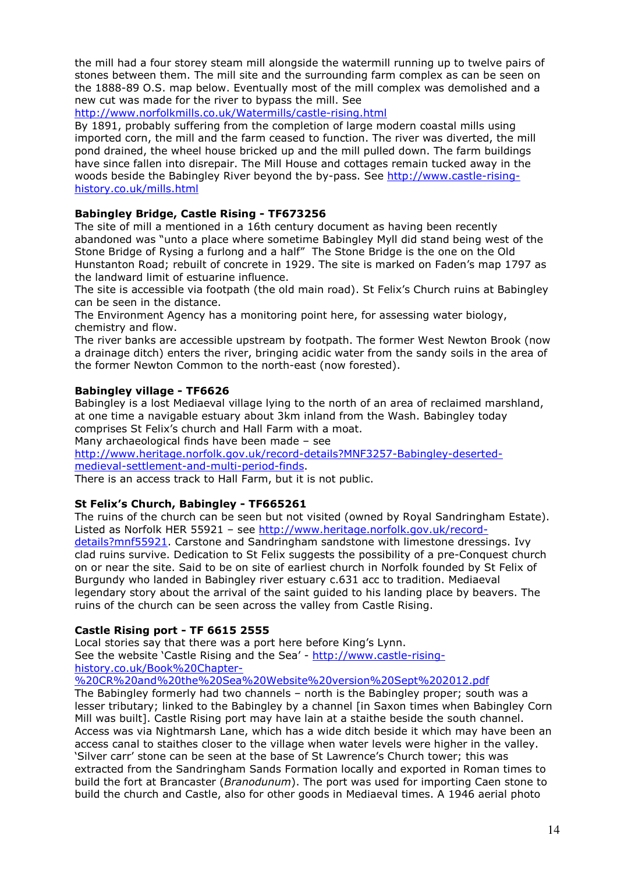the mill had a four storey steam mill alongside the watermill running up to twelve pairs of stones between them. The mill site and the surrounding farm complex as can be seen on the 1888-89 O.S. map below. Eventually most of the mill complex was demolished and a new cut was made for the river to bypass the mill. See

http://www.norfolkmills.co.uk/Watermills/castle-rising.html

By 1891, probably suffering from the completion of large modern coastal mills using imported corn, the mill and the farm ceased to function. The river was diverted, the mill pond drained, the wheel house bricked up and the mill pulled down. The farm buildings have since fallen into disrepair. The Mill House and cottages remain tucked away in the woods beside the Babingley River beyond the by-pass. See http://www.castle-risinghistory.co.uk/mills.html

### Babingley Bridge, Castle Rising - TF673256

The site of mill a mentioned in a 16th century document as having been recently abandoned was "unto a place where sometime Babingley Myll did stand being west of the Stone Bridge of Rysing a furlong and a half" The Stone Bridge is the one on the Old Hunstanton Road; rebuilt of concrete in 1929. The site is marked on Faden's map 1797 as the landward limit of estuarine influence.

The site is accessible via footpath (the old main road). St Felix's Church ruins at Babingley can be seen in the distance.

The Environment Agency has a monitoring point here, for assessing water biology, chemistry and flow.

The river banks are accessible upstream by footpath. The former West Newton Brook (now a drainage ditch) enters the river, bringing acidic water from the sandy soils in the area of the former Newton Common to the north-east (now forested).

## Babingley village - TF6626

Babingley is a lost Mediaeval village lying to the north of an area of reclaimed marshland, at one time a navigable estuary about 3km inland from the Wash. Babingley today comprises St Felix's church and Hall Farm with a moat.

Many archaeological finds have been made – see

http://www.heritage.norfolk.gov.uk/record-details?MNF3257-Babingley-desertedmedieval-settlement-and-multi-period-finds.

There is an access track to Hall Farm, but it is not public.

#### St Felix's Church, Babingley - TF665261

The ruins of the church can be seen but not visited (owned by Royal Sandringham Estate). Listed as Norfolk HER 55921 – see http://www.heritage.norfolk.gov.uk/recorddetails?mnf55921. Carstone and Sandringham sandstone with limestone dressings. Ivy clad ruins survive. Dedication to St Felix suggests the possibility of a pre-Conquest church on or near the site. Said to be on site of earliest church in Norfolk founded by St Felix of Burgundy who landed in Babingley river estuary c.631 acc to tradition. Mediaeval legendary story about the arrival of the saint guided to his landing place by beavers. The ruins of the church can be seen across the valley from Castle Rising.

## Castle Rising port - TF 6615 2555

Local stories say that there was a port here before King's Lynn. See the website 'Castle Rising and the Sea' - http://www.castle-risinghistory.co.uk/Book%20Chapter-

%20CR%20and%20the%20Sea%20Website%20version%20Sept%202012.pdf

The Babingley formerly had two channels – north is the Babingley proper; south was a lesser tributary; linked to the Babingley by a channel [in Saxon times when Babingley Corn Mill was built]. Castle Rising port may have lain at a staithe beside the south channel. Access was via Nightmarsh Lane, which has a wide ditch beside it which may have been an access canal to staithes closer to the village when water levels were higher in the valley. 'Silver carr' stone can be seen at the base of St Lawrence's Church tower; this was extracted from the Sandringham Sands Formation locally and exported in Roman times to build the fort at Brancaster (Branodunum). The port was used for importing Caen stone to build the church and Castle, also for other goods in Mediaeval times. A 1946 aerial photo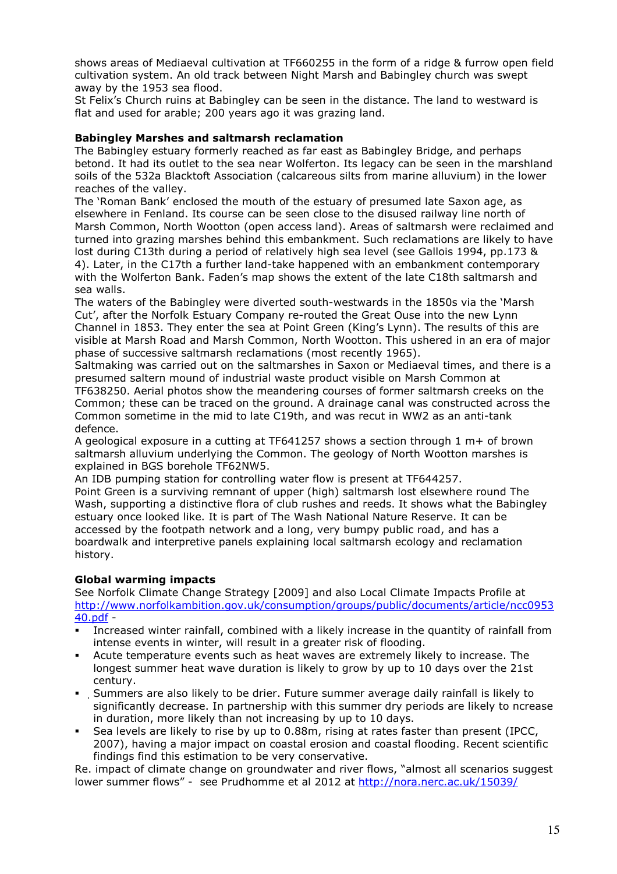shows areas of Mediaeval cultivation at TF660255 in the form of a ridge & furrow open field cultivation system. An old track between Night Marsh and Babingley church was swept away by the 1953 sea flood.

St Felix's Church ruins at Babingley can be seen in the distance. The land to westward is flat and used for arable; 200 years ago it was grazing land.

### Babingley Marshes and saltmarsh reclamation

The Babingley estuary formerly reached as far east as Babingley Bridge, and perhaps betond. It had its outlet to the sea near Wolferton. Its legacy can be seen in the marshland soils of the 532a Blacktoft Association (calcareous silts from marine alluvium) in the lower reaches of the valley.

The 'Roman Bank' enclosed the mouth of the estuary of presumed late Saxon age, as elsewhere in Fenland. Its course can be seen close to the disused railway line north of Marsh Common, North Wootton (open access land). Areas of saltmarsh were reclaimed and turned into grazing marshes behind this embankment. Such reclamations are likely to have lost during C13th during a period of relatively high sea level (see Gallois 1994, pp.173 & 4). Later, in the C17th a further land-take happened with an embankment contemporary with the Wolferton Bank. Faden's map shows the extent of the late C18th saltmarsh and sea walls.

The waters of the Babingley were diverted south-westwards in the 1850s via the 'Marsh Cut', after the Norfolk Estuary Company re-routed the Great Ouse into the new Lynn Channel in 1853. They enter the sea at Point Green (King's Lynn). The results of this are visible at Marsh Road and Marsh Common, North Wootton. This ushered in an era of major phase of successive saltmarsh reclamations (most recently 1965).

Saltmaking was carried out on the saltmarshes in Saxon or Mediaeval times, and there is a presumed saltern mound of industrial waste product visible on Marsh Common at

TF638250. Aerial photos show the meandering courses of former saltmarsh creeks on the Common; these can be traced on the ground. A drainage canal was constructed across the Common sometime in the mid to late C19th, and was recut in WW2 as an anti-tank defence.

A geological exposure in a cutting at TF641257 shows a section through 1 m+ of brown saltmarsh alluvium underlying the Common. The geology of North Wootton marshes is explained in BGS borehole TF62NW5.

An IDB pumping station for controlling water flow is present at TF644257.

Point Green is a surviving remnant of upper (high) saltmarsh lost elsewhere round The Wash, supporting a distinctive flora of club rushes and reeds. It shows what the Babingley estuary once looked like. It is part of The Wash National Nature Reserve. It can be accessed by the footpath network and a long, very bumpy public road, and has a boardwalk and interpretive panels explaining local saltmarsh ecology and reclamation history.

## Global warming impacts

See Norfolk Climate Change Strategy [2009] and also Local Climate Impacts Profile at http://www.norfolkambition.gov.uk/consumption/groups/public/documents/article/ncc0953 40.pdf -

- Increased winter rainfall, combined with a likely increase in the quantity of rainfall from intense events in winter, will result in a greater risk of flooding.
- Acute temperature events such as heat waves are extremely likely to increase. The longest summer heat wave duration is likely to grow by up to 10 days over the 21st century.
- Summers are also likely to be drier. Future summer average daily rainfall is likely to significantly decrease. In partnership with this summer dry periods are likely to ncrease in duration, more likely than not increasing by up to 10 days.
- Sea levels are likely to rise by up to 0.88m, rising at rates faster than present (IPCC, 2007), having a major impact on coastal erosion and coastal flooding. Recent scientific findings find this estimation to be very conservative.

Re. impact of climate change on groundwater and river flows, "almost all scenarios suggest lower summer flows" - see Prudhomme et al 2012 at http://nora.nerc.ac.uk/15039/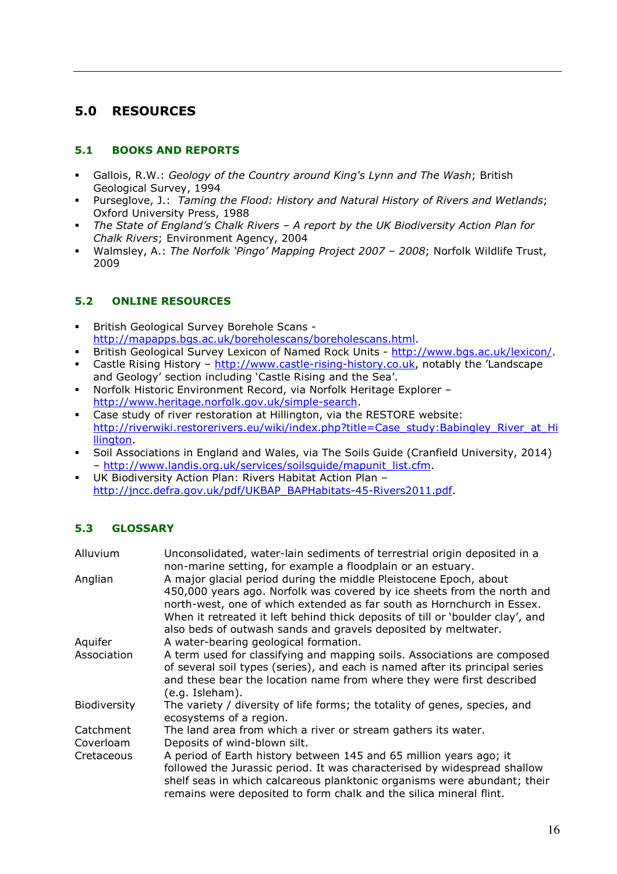# 5.0 RESOURCES

## 5.1 BOOKS AND REPORTS

- Gallois, R.W.: Geology of the Country around King's Lynn and The Wash; British Geological Survey, 1994
- Purseglove, J.: Taming the Flood: History and Natural History of Rivers and Wetlands; Oxford University Press, 1988
- The State of England's Chalk Rivers A report by the UK Biodiversity Action Plan for Chalk Rivers; Environment Agency, 2004
- Walmsley, A.: The Norfolk 'Pingo' Mapping Project 2007 2008; Norfolk Wildlife Trust, 2009

## 5.2 ONLINE RESOURCES

- British Geological Survey Borehole Scans http://mapapps.bgs.ac.uk/boreholescans/boreholescans.html.
- British Geological Survey Lexicon of Named Rock Units http://www.bgs.ac.uk/lexicon/.
- Castle Rising History http://www.castle-rising-history.co.uk, notably the 'Landscape and Geology' section including 'Castle Rising and the Sea'.
- Norfolk Historic Environment Record, via Norfolk Heritage Explorer http://www.heritage.norfolk.gov.uk/simple-search.
- Case study of river restoration at Hillington, via the RESTORE website: http://riverwiki.restorerivers.eu/wiki/index.php?title=Case\_study:Babingley\_River\_at\_Hi llington.
- Soil Associations in England and Wales, via The Soils Guide (Cranfield University, 2014) – http://www.landis.org.uk/services/soilsguide/mapunit\_list.cfm.
- UK Biodiversity Action Plan: Rivers Habitat Action Plan http://jncc.defra.gov.uk/pdf/UKBAP\_BAPHabitats-45-Rivers2011.pdf.

## 5.3 GLOSSARY

| Alluvium               | Unconsolidated, water-lain sediments of terrestrial origin deposited in a<br>non-marine setting, for example a floodplain or an estuary.                                                                                                                                                                                                                                   |
|------------------------|----------------------------------------------------------------------------------------------------------------------------------------------------------------------------------------------------------------------------------------------------------------------------------------------------------------------------------------------------------------------------|
| Anglian                | A major glacial period during the middle Pleistocene Epoch, about<br>450,000 years ago. Norfolk was covered by ice sheets from the north and<br>north-west, one of which extended as far south as Hornchurch in Essex.<br>When it retreated it left behind thick deposits of till or 'boulder clay', and<br>also beds of outwash sands and gravels deposited by meltwater. |
| Aquifer                | A water-bearing geological formation.                                                                                                                                                                                                                                                                                                                                      |
| Association            | A term used for classifying and mapping soils. Associations are composed<br>of several soil types (series), and each is named after its principal series<br>and these bear the location name from where they were first described<br>(e.g. Isleham).                                                                                                                       |
| Biodiversity           | The variety / diversity of life forms; the totality of genes, species, and<br>ecosystems of a region.                                                                                                                                                                                                                                                                      |
| Catchment<br>Coverloam | The land area from which a river or stream gathers its water.<br>Deposits of wind-blown silt.                                                                                                                                                                                                                                                                              |
| Cretaceous             | A period of Earth history between 145 and 65 million years ago; it<br>followed the Jurassic period. It was characterised by widespread shallow<br>shelf seas in which calcareous planktonic organisms were abundant; their<br>remains were deposited to form chalk and the silica mineral flint.                                                                           |